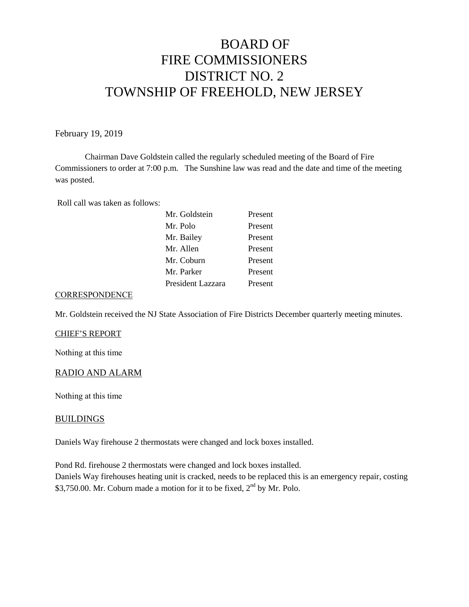# BOARD OF FIRE COMMISSIONERS DISTRICT NO. 2 TOWNSHIP OF FREEHOLD, NEW JERSEY

February 19, 2019

Chairman Dave Goldstein called the regularly scheduled meeting of the Board of Fire Commissioners to order at 7:00 p.m. The Sunshine law was read and the date and time of the meeting was posted.

Roll call was taken as follows:

#### **CORRESPONDENCE**

Mr. Goldstein received the NJ State Association of Fire Districts December quarterly meeting minutes.

#### CHIEF'S REPORT

Nothing at this time

## RADIO AND ALARM

Nothing at this time

#### **BUILDINGS**

Daniels Way firehouse 2 thermostats were changed and lock boxes installed.

Pond Rd. firehouse 2 thermostats were changed and lock boxes installed. Daniels Way firehouses heating unit is cracked, needs to be replaced this is an emergency repair, costing \$3,750.00. Mr. Coburn made a motion for it to be fixed, 2<sup>nd</sup> by Mr. Polo.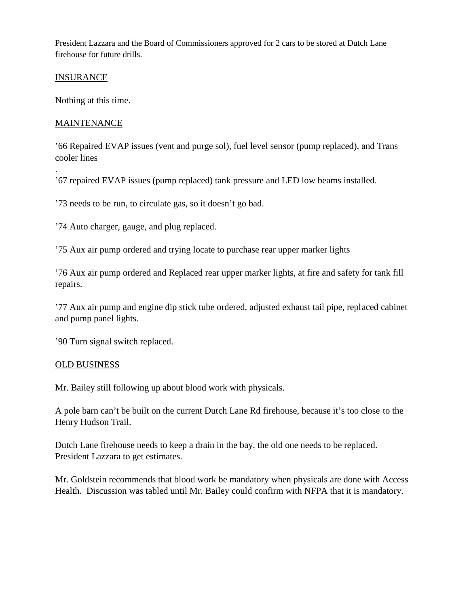President Lazzara and the Board of Commissioners approved for 2 cars to be stored at Dutch Lane firehouse for future drills.

# INSURANCE

Nothing at this time.

# **MAINTENANCE**

.

'66 Repaired EVAP issues (vent and purge sol), fuel level sensor (pump replaced), and Trans cooler lines

'67 repaired EVAP issues (pump replaced) tank pressure and LED low beams installed.

'73 needs to be run, to circulate gas, so it doesn't go bad.

'74 Auto charger, gauge, and plug replaced.

'75 Aux air pump ordered and trying locate to purchase rear upper marker lights

'76 Aux air pump ordered and Replaced rear upper marker lights, at fire and safety for tank fill repairs.

'77 Aux air pump and engine dip stick tube ordered, adjusted exhaust tail pipe, replaced cabinet and pump panel lights.

'90 Turn signal switch replaced.

## OLD BUSINESS

Mr. Bailey still following up about blood work with physicals.

A pole barn can't be built on the current Dutch Lane Rd firehouse, because it's too close to the Henry Hudson Trail.

Dutch Lane firehouse needs to keep a drain in the bay, the old one needs to be replaced. President Lazzara to get estimates.

Mr. Goldstein recommends that blood work be mandatory when physicals are done with Access Health. Discussion was tabled until Mr. Bailey could confirm with NFPA that it is mandatory.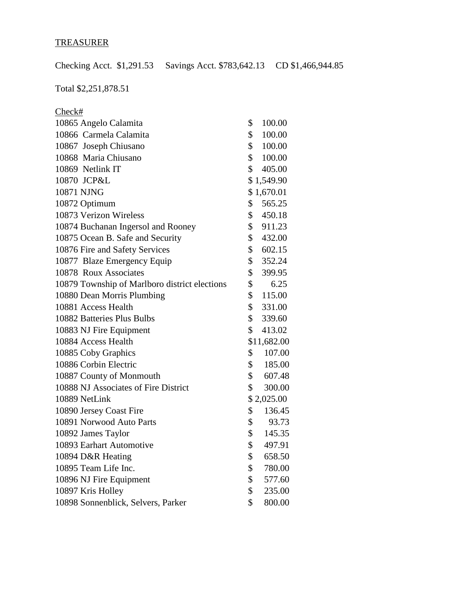# TREASURER

Checking Acct. \$1,291.53 Savings Acct. \$783,642.13 CD \$1,466,944.85

Total \$2,251,878.51

| Check#                                        |                          |
|-----------------------------------------------|--------------------------|
| 10865 Angelo Calamita                         | \$<br>100.00             |
| 10866 Carmela Calamita                        | \$<br>100.00             |
| 10867 Joseph Chiusano                         | $\mathbb{S}$<br>100.00   |
| 10868 Maria Chiusano                          | $\mathbb{S}$<br>100.00   |
| 10869 Netlink IT                              | \$<br>405.00             |
| 10870 JCP&L                                   | \$1,549.90               |
| 10871 NJNG                                    | \$1,670.01               |
| 10872 Optimum                                 | $\mathbb{S}^-$<br>565.25 |
| 10873 Verizon Wireless                        | \$<br>450.18             |
| 10874 Buchanan Ingersol and Rooney            | \$<br>911.23             |
| 10875 Ocean B. Safe and Security              | \$<br>432.00             |
| 10876 Fire and Safety Services                | \$<br>602.15             |
| 10877 Blaze Emergency Equip                   | \$<br>352.24             |
| 10878 Roux Associates                         | \$<br>399.95             |
| 10879 Township of Marlboro district elections | \$<br>6.25               |
| 10880 Dean Morris Plumbing                    | \$<br>115.00             |
| 10881 Access Health                           | \$<br>331.00             |
| 10882 Batteries Plus Bulbs                    | $\mathbb{S}$<br>339.60   |
| 10883 NJ Fire Equipment                       | \$<br>413.02             |
| 10884 Access Health                           | \$11,682.00              |
| 10885 Coby Graphics                           | \$<br>107.00             |
| 10886 Corbin Electric                         | $\mathbb{S}$<br>185.00   |
| 10887 County of Monmouth                      | \$<br>607.48             |
| 10888 NJ Associates of Fire District          | \$<br>300.00             |
| 10889 NetLink                                 | \$2,025.00               |
| 10890 Jersey Coast Fire                       | \$<br>136.45             |
| 10891 Norwood Auto Parts                      | \$<br>93.73              |
| 10892 James Taylor                            | \$<br>145.35             |
| 10893 Earhart Automotive                      | \$<br>497.91             |
| 10894 D&R Heating                             | \$<br>658.50             |
| 10895 Team Life Inc.                          | \$<br>780.00             |
| 10896 NJ Fire Equipment                       | \$<br>577.60             |
| 10897 Kris Holley                             | \$<br>235.00             |
| 10898 Sonnenblick, Selvers, Parker            | \$<br>800.00             |